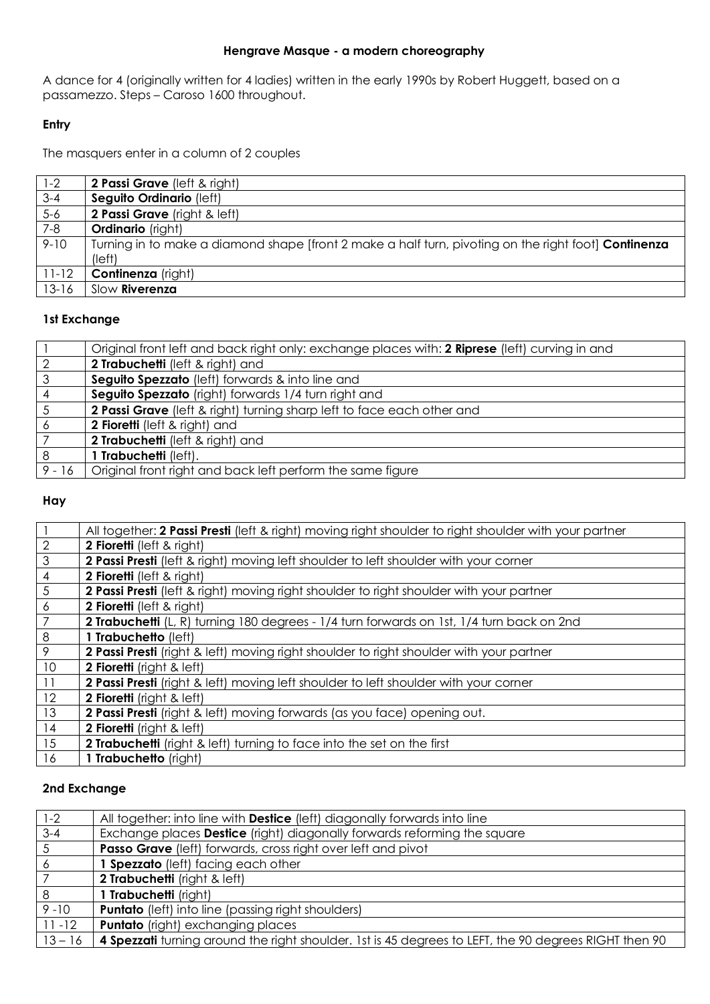# **Hengrave Masque - a modern choreography**

A dance for 4 (originally written for 4 ladies) written in the early 1990s by Robert Huggett, based on a passamezzo. Steps – Caroso 1600 throughout.

# **Entry**

The masquers enter in a column of 2 couples

| $1 - 2$   | <b>2 Passi Grave</b> (left & right)                                                                         |
|-----------|-------------------------------------------------------------------------------------------------------------|
| $3 - 4$   | Seguito Ordinario (left)                                                                                    |
| $5-6$     | 2 Passi Grave (right & left)                                                                                |
| $7-8$     | <b>Ordinario</b> (right)                                                                                    |
| $9 - 10$  | Turning in to make a diamond shape [front 2 make a half turn, pivoting on the right foot] <b>Continenza</b> |
|           | (left)                                                                                                      |
| $11 - 12$ | <b>Continenza</b> (right)                                                                                   |
| $13 - 16$ | Slow Riverenza                                                                                              |

# **1st Exchange**

|              | Original front left and back right only: exchange places with: 2 Riprese (left) curving in and |
|--------------|------------------------------------------------------------------------------------------------|
| -2           | 2 Trabuchetti (left & right) and                                                               |
| $\mathbf{3}$ | Seguito Spezzato (left) forwards & into line and                                               |
| -4           | Seguito Spezzato (right) forwards 1/4 turn right and                                           |
| $\sqrt{5}$   | 2 Passi Grave (left & right) turning sharp left to face each other and                         |
| 6            | 2 Fioretti (left & right) and                                                                  |
|              | 2 Trabuchetti (left & right) and                                                               |
| 8            | 1 Trabuchetti (left).                                                                          |
| $9 - 16$     | Original front right and back left perform the same figure                                     |
|              |                                                                                                |

# **Hay**

| All together: 2 Passi Presti (left & right) moving right shoulder to right shoulder with your partner |
|-------------------------------------------------------------------------------------------------------|
| 2 Fioretti (left & right)                                                                             |
| 2 Passi Presti (left & right) moving left shoulder to left shoulder with your corner                  |
| 2 Fioretti (left & right)                                                                             |
| <b>2 Passi Presti</b> (left & right) moving right shoulder to right shoulder with your partner        |
| 2 Fioretti (left & right)                                                                             |
| <b>2 Trabuchetti</b> (L, R) turning 180 degrees - 1/4 turn forwards on 1st, 1/4 turn back on 2nd      |
| 1 Trabuchetto (left)                                                                                  |
| 2 Passi Presti (right & left) moving right shoulder to right shoulder with your partner               |
| 2 Fioretti (right & left)                                                                             |
| <b>2 Passi Presti</b> (right & left) moving left shoulder to left shoulder with your corner           |
| 2 Fioretti (right & left)                                                                             |
| 2 Passi Presti (right & left) moving forwards (as you face) opening out.                              |
| 2 Fioretti (right & left)                                                                             |
| <b>2 Trabuchetti</b> (right & left) turning to face into the set on the first                         |
| 1 Trabuchetto (right)                                                                                 |
|                                                                                                       |

# **2nd Exchange**

| $1 - 2$         | All together: into line with <b>Destice</b> (left) diagonally forwards into line                      |
|-----------------|-------------------------------------------------------------------------------------------------------|
| $3 - 4$         | Exchange places Destice (right) diagonally forwards reforming the square                              |
| $5\phantom{.0}$ | Passo Grave (left) forwards, cross right over left and pivot                                          |
| 6               | 1 Spezzato (left) facing each other                                                                   |
|                 | 2 Trabuchetti (right & left)                                                                          |
| 8               | 1 Trabuchetti (right)                                                                                 |
| $9 - 10$        | <b>Puntato</b> (left) into line (passing right shoulders)                                             |
| $11 - 12$       | <b>Puntato</b> (right) exchanging places                                                              |
| $13 - 16$       | 4 Spezzati turning around the right shoulder. 1st is 45 degrees to LEFT, the 90 degrees RIGHT then 90 |
|                 |                                                                                                       |